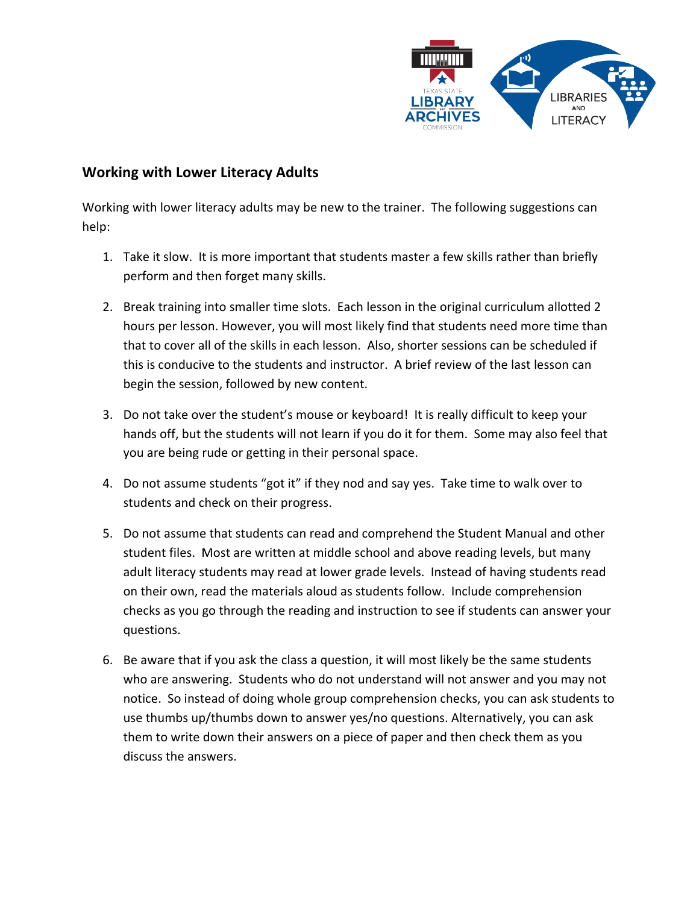

## **Working with Lower Literacy Adults**

Working with lower literacy adults may be new to the trainer. The following suggestions can help:

- 1. Take it slow. It is more important that students master a few skills rather than briefly perform and then forget many skills.
- 2. Break training into smaller time slots. Each lesson in the original curriculum allotted 2 hours per lesson. However, you will most likely find that students need more time than that to cover all of the skills in each lesson. Also, shorter sessions can be scheduled if this is conducive to the students and instructor. A brief review of the last lesson can begin the session, followed by new content.
- 3. Do not take over the student's mouse or keyboard! It is really difficult to keep your hands off, but the students will not learn if you do it for them. Some may also feel that you are being rude or getting in their personal space.
- 4. Do not assume students "got it" if they nod and say yes. Take time to walk over to students and check on their progress.
- 5. Do not assume that students can read and comprehend the Student Manual and other student files. Most are written at middle school and above reading levels, but many adult literacy students may read at lower grade levels. Instead of having students read on their own, read the materials aloud as students follow. Include comprehension checks as you go through the reading and instruction to see if students can answer your questions.
- 6. Be aware that if you ask the class a question, it will most likely be the same students who are answering. Students who do not understand will not answer and you may not notice. So instead of doing whole group comprehension checks, you can ask students to use thumbs up/thumbs down to answer yes/no questions. Alternatively, you can ask them to write down their answers on a piece of paper and then check them as you discuss the answers.